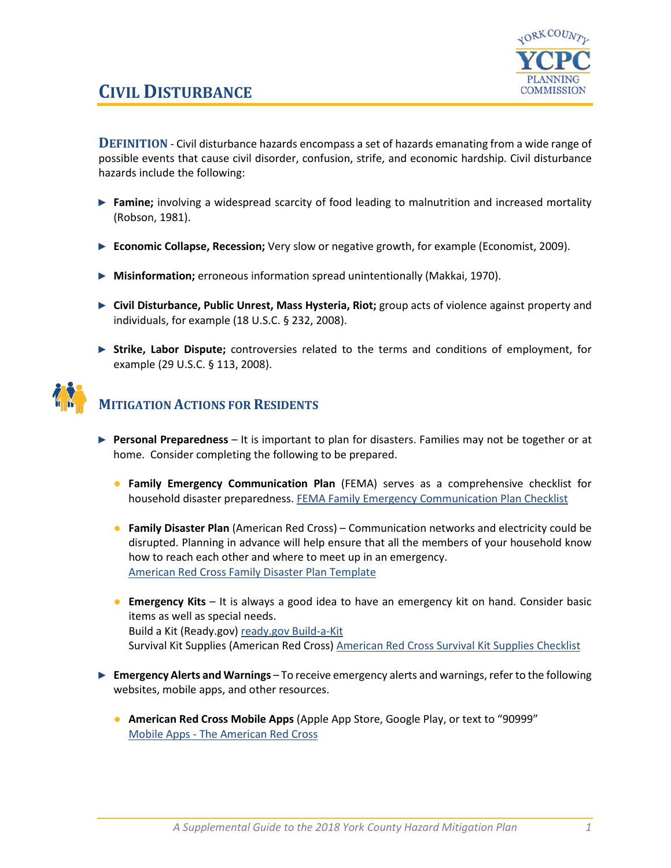

## **CIVIL DISTURBANCE**

**DEFINITION** - Civil disturbance hazards encompass a set of hazards emanating from a wide range of possible events that cause civil disorder, confusion, strife, and economic hardship. Civil disturbance hazards include the following:

- ► **Famine;** involving a widespread scarcity of food leading to malnutrition and increased mortality (Robson, 1981).
- ► **Economic Collapse, Recession;** Very slow or negative growth, for example (Economist, 2009).
- ► **Misinformation;** erroneous information spread unintentionally (Makkai, 1970).
- ► **Civil Disturbance, Public Unrest, Mass Hysteria, Riot;** group acts of violence against property and individuals, for example (18 U.S.C. § 232, 2008).
- ► **Strike, Labor Dispute;** controversies related to the terms and conditions of employment, for example (29 U.S.C. § 113, 2008).



## **MITIGATION ACTIONS FOR RESIDENTS**

- ► **Personal Preparedness** It is important to plan for disasters. Families may not be together or at home. Consider completing the following to be prepared.
	- **Family Emergency Communication Plan** (FEMA) serves as a comprehensive checklist for household disaster preparedness. [FEMA Family Emergency Communication Plan Checklist](https://www.fema.gov/media-library-data/1530826217620-10775bfcb5d7600be8e6b88308b24d8c/P1094_CreateYourFamilyEmergencyCommunicationPlan_070318.pdf)
	- **Family Disaster Plan** (American Red Cross) Communication networks and electricity could be disrupted. Planning in advance will help ensure that all the members of your household know how to reach each other and where to meet up in an emergency. [American Red Cross Family Disaster Plan Template](https://www.redcross.org/content/dam/redcross/atg/PDF_s/Preparedness___Disaster_Recovery/General_Preparedness___Recovery/Home/ARC_Family_Disaster_Plan_Template_r083012.pdf)
	- **Emergency Kits** It is always a good idea to have an emergency kit on hand. Consider basic items as well as special needs. Build a Kit (Ready.gov) [ready.gov Build-a-Kit](https://www.ready.gov/build-a-kit) Survival Kit Supplies (American Red Cross) [American Red Cross Survival Kit Supplies Checklist](https://www.redcross.org/get-help/how-to-prepare-for-emergencies/survival-kit-supplies.html)
- ► **Emergency Alerts and Warnings** To receive emergency alerts and warnings, refer to the following websites, mobile apps, and other resources.
	- **American Red Cross Mobile Apps** (Apple App Store, Google Play, or text to "90999" Mobile Apps - [The American Red Cross](https://www.redcross.org/get-help/how-to-prepare-for-emergencies/mobile-apps.html)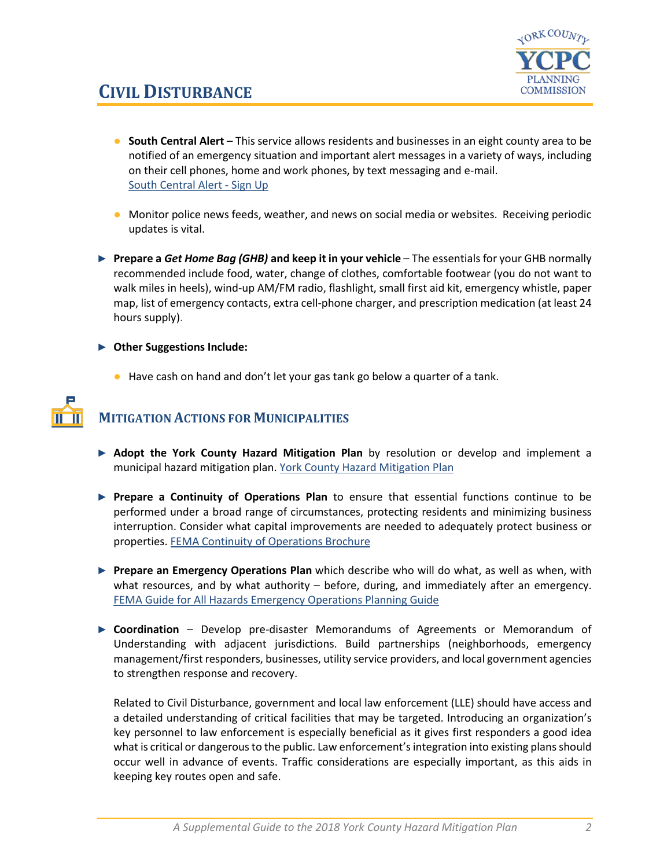

- **South Central Alert** This service allows residents and businesses in an eight county area to be notified of an emergency situation and important alert messages in a variety of ways, including on their cell phones, home and work phones, by text messaging and e-mail. [South Central Alert -](https://www.sctfpa.org/sc-alert.php) Sign Up
- Monitor police news feeds, weather, and news on social media or websites. Receiving periodic updates is vital.
- ► **Prepare a** *Get Home Bag (GHB)* **and keep it in your vehicle** The essentials for your GHB normally recommended include food, water, change of clothes, comfortable footwear (you do not want to walk miles in heels), wind-up AM/FM radio, flashlight, small first aid kit, emergency whistle, paper map, list of emergency contacts, extra cell-phone charger, and prescription medication (at least 24 hours supply).
- ► **Other Suggestions Include:**
	- Have cash on hand and don't let your gas tank go below a quarter of a tank.

## **MITIGATION ACTIONS FOR MUNICIPALITIES**

- ► **Adopt the York County Hazard Mitigation Plan** by resolution or develop and implement a municipal hazard mitigation plan. [York County Hazard Mitigation Plan](http://ycpc.org/DocumentCenter/View/290/Hazard-Mitigation-Plan-PDF)
- ► **Prepare a Continuity of Operations Plan** to ensure that essential functions continue to be performed under a broad range of circumstances, protecting residents and minimizing business interruption. Consider what capital improvements are needed to adequately protect business or properties. [FEMA Continuity of Operations Brochure](https://www.fema.gov/pdf/about/org/ncp/coop_brochure.pdf)
- ► **Prepare an Emergency Operations Plan** which describe who will do what, as well as when, with what resources, and by what authority – before, during, and immediately after an emergency. [FEMA Guide for All Hazards Emergency Operations Planning Guide](https://www.fema.gov/pdf/plan/slg101.pdf)
- ► **Coordination** Develop pre-disaster Memorandums of Agreements or Memorandum of Understanding with adjacent jurisdictions. Build partnerships (neighborhoods, emergency management/first responders, businesses, utility service providers, and local government agencies to strengthen response and recovery.

Related to Civil Disturbance, government and local law enforcement (LLE) should have access and a detailed understanding of critical facilities that may be targeted. Introducing an organization's key personnel to law enforcement is especially beneficial as it gives first responders a good idea what is critical or dangerous to the public. Law enforcement's integration into existing plans should occur well in advance of events. Traffic considerations are especially important, as this aids in keeping key routes open and safe.